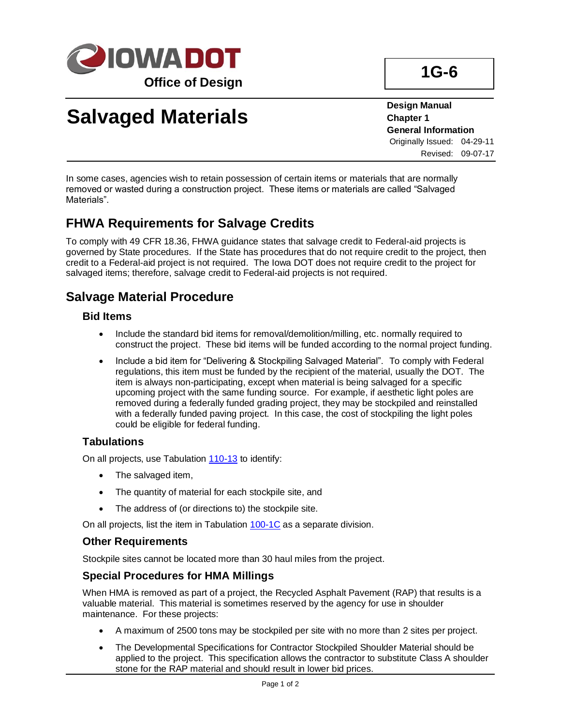

# **Salvaged Materials**

**Design Manual Chapter 1 General Information** Originally Issued: 04-29-11 Revised: 09-07-17

In some cases, agencies wish to retain possession of certain items or materials that are normally removed or wasted during a construction project. These items or materials are called "Salvaged Materials".

## **FHWA Requirements for Salvage Credits**

To comply with 49 CFR 18.36, FHWA guidance states that salvage credit to Federal-aid projects is governed by State procedures. If the State has procedures that do not require credit to the project, then credit to a Federal-aid project is not required. The Iowa DOT does not require credit to the project for salvaged items; therefore, salvage credit to Federal-aid projects is not required.

### **Salvage Material Procedure**

#### **Bid Items**

- Include the standard bid items for removal/demolition/milling, etc. normally required to construct the project. These bid items will be funded according to the normal project funding.
- Include a bid item for "Delivering & Stockpiling Salvaged Material". To comply with Federal regulations, this item must be funded by the recipient of the material, usually the DOT. The item is always non-participating, except when material is being salvaged for a specific upcoming project with the same funding source. For example, if aesthetic light poles are removed during a federally funded grading project, they may be stockpiled and reinstalled with a federally funded paving project. In this case, the cost of stockpiling the light poles could be eligible for federal funding.

#### **Tabulations**

On all projects, use Tabulation [110-13](../tnt/PDFsandWebFiles/IndividualPDFs/0110-13.pdf) to identify:

- The salvaged item,
- The quantity of material for each stockpile site, and
- The address of (or directions to) the stockpile site.

On all projects, list the item in Tabulation [100-1C](../tnt/PDFsandWebFiles/IndividualPDFs/0100-01C.PDF) as a separate division.

#### **Other Requirements**

Stockpile sites cannot be located more than 30 haul miles from the project.

#### **Special Procedures for HMA Millings**

When HMA is removed as part of a project, the Recycled Asphalt Pavement (RAP) that results is a valuable material. This material is sometimes reserved by the agency for use in shoulder maintenance. For these projects:

- A maximum of 2500 tons may be stockpiled per site with no more than 2 sites per project.
- The Developmental Specifications for Contractor Stockpiled Shoulder Material should be applied to the project. This specification allows the contractor to substitute Class A shoulder stone for the RAP material and should result in lower bid prices.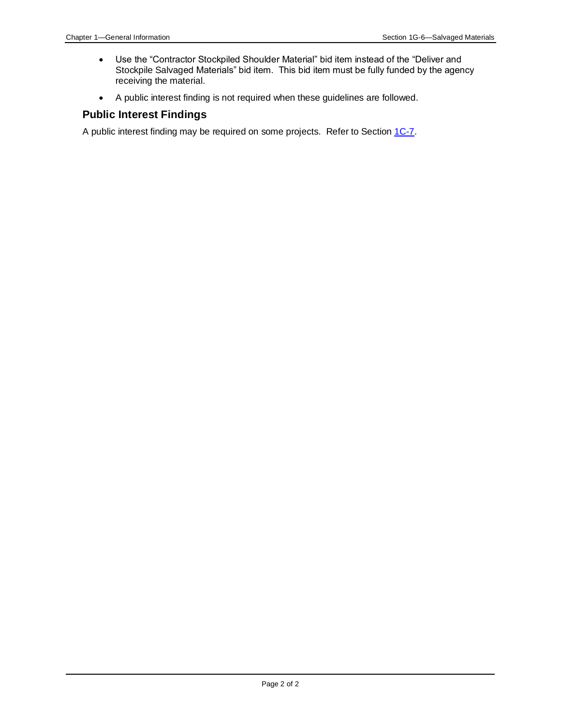- Use the "Contractor Stockpiled Shoulder Material" bid item instead of the "Deliver and Stockpile Salvaged Materials" bid item. This bid item must be fully funded by the agency receiving the material.
- A public interest finding is not required when these guidelines are followed.

#### **Public Interest Findings**

A public interest finding may be required on some projects. Refer to Section [1C-7.](01C-07.pdf)